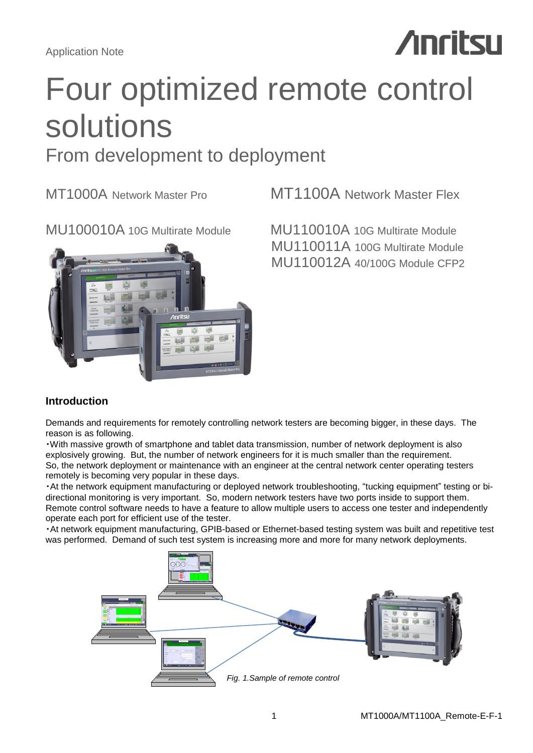Application Note

# **Anritsu**

# Four optimized remote control solutions

# From development to deployment



MT1000A Network Master Pro **MT1100A Network Master Flex** 

MU100010A 10G Multirate Module MU110010A 10G Multirate Module MU110011A 100G Multirate Module MU110012A 40/100G Module CFP2

# **Introduction**

Demands and requirements for remotely controlling network testers are becoming bigger, in these days. The reason is as following.

・With massive growth of smartphone and tablet data transmission, number of network deployment is also explosively growing. But, the number of network engineers for it is much smaller than the requirement. So, the network deployment or maintenance with an engineer at the central network center operating testers remotely is becoming very popular in these days.

・At the network equipment manufacturing or deployed network troubleshooting, "tucking equipment" testing or bidirectional monitoring is very important. So, modern network testers have two ports inside to support them. Remote control software needs to have a feature to allow multiple users to access one tester and independently operate each port for efficient use of the tester.

・At network equipment manufacturing, GPIB-based or Ethernet-based testing system was built and repetitive test was performed. Demand of such test system is increasing more and more for many network deployments.

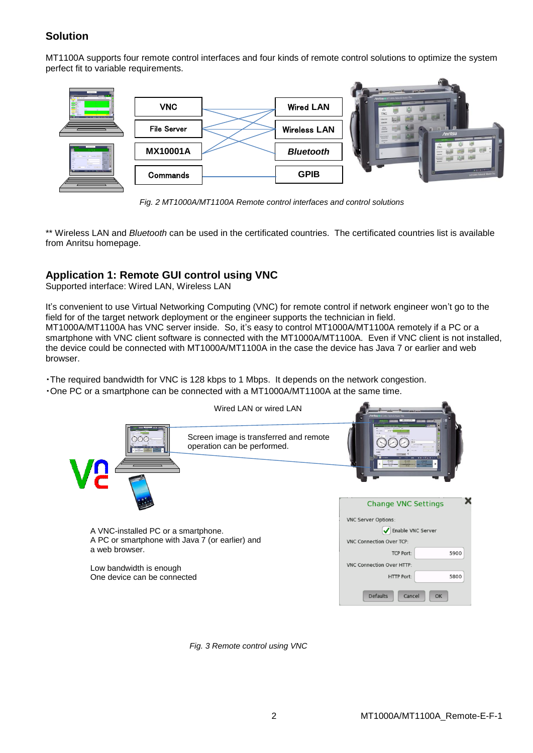# **Solution**

MT1100A supports four remote control interfaces and four kinds of remote control solutions to optimize the system perfect fit to variable requirements.



*Fig. 2 MT1000A/MT1100A Remote control interfaces and control solutions*

\*\* Wireless LAN and *Bluetooth* can be used in the certificated countries. The certificated countries list is available from Anritsu homepage.

# **Application 1: Remote GUI control using VNC**

Supported interface: Wired LAN, Wireless LAN

It's convenient to use Virtual Networking Computing (VNC) for remote control if network engineer won't go to the field for of the target network deployment or the engineer supports the technician in field. MT1000A/MT1100A has VNC server inside. So, it's easy to control MT1000A/MT1100A remotely if a PC or a smartphone with VNC client software is connected with the MT1000A/MT1100A. Even if VNC client is not installed, the device could be connected with MT1000A/MT1100A in the case the device has Java 7 or earlier and web browser.

・The required bandwidth for VNC is 128 kbps to 1 Mbps. It depends on the network congestion. ・One PC or a smartphone can be connected with a MT1000A/MT1100A at the same time.



*Fig. 3 Remote control using VNC*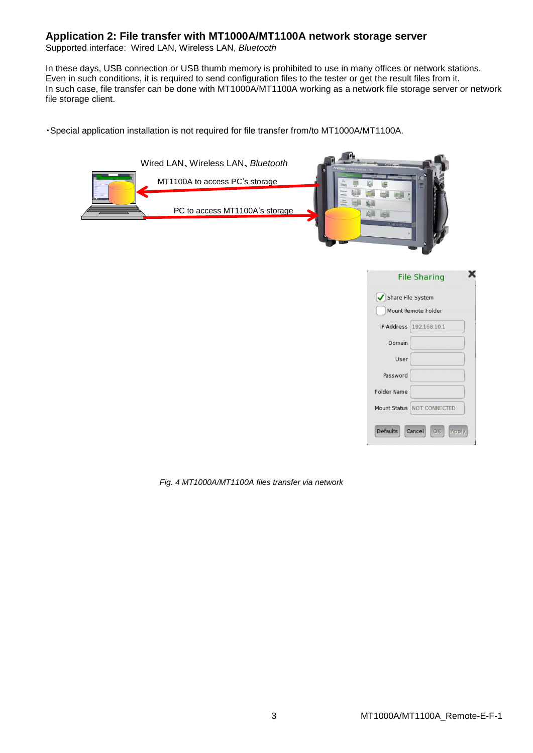## **Application 2: File transfer with MT1000A/MT1100A network storage server**

Supported interface: Wired LAN, Wireless LAN, *Bluetooth*

In these days, USB connection or USB thumb memory is prohibited to use in many offices or network stations. Even in such conditions, it is required to send configuration files to the tester or get the result files from it. In such case, file transfer can be done with MT1000A/MT1100A working as a network file storage server or network file storage client.

・Special application installation is not required for file transfer from/to MT1000A/MT1100A.



*Fig. 4 MT1000A/MT1100A files transfer via network*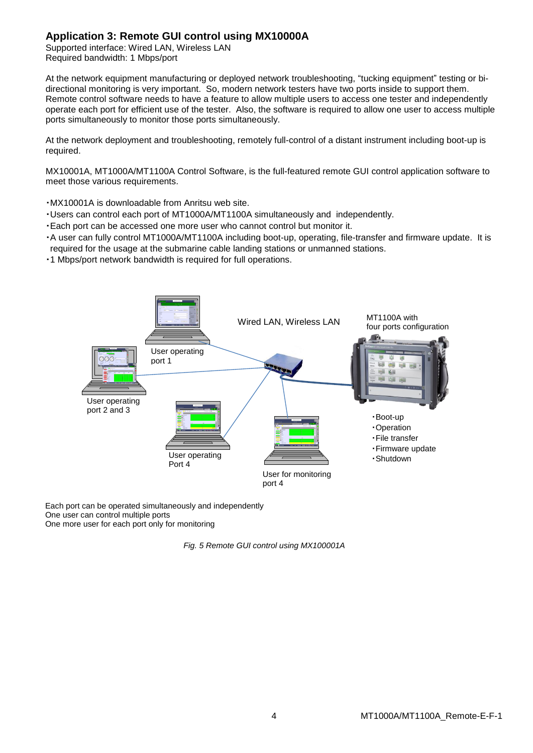# **Application 3: Remote GUI control using MX10000A**

Supported interface: Wired LAN, Wireless LAN Required bandwidth: 1 Mbps/port

At the network equipment manufacturing or deployed network troubleshooting, "tucking equipment" testing or bidirectional monitoring is very important. So, modern network testers have two ports inside to support them. Remote control software needs to have a feature to allow multiple users to access one tester and independently operate each port for efficient use of the tester. Also, the software is required to allow one user to access multiple ports simultaneously to monitor those ports simultaneously.

At the network deployment and troubleshooting, remotely full-control of a distant instrument including boot-up is required.

MX10001A, MT1000A/MT1100A Control Software, is the full-featured remote GUI control application software to meet those various requirements.

・MX10001A is downloadable from Anritsu web site.

- ・Users can control each port of MT1000A/MT1100A simultaneously and independently.
- ・Each port can be accessed one more user who cannot control but monitor it.
- ・A user can fully control MT1000A/MT1100A including boot-up, operating, file-transfer and firmware update. It is required for the usage at the submarine cable landing stations or unmanned stations.
- ・1 Mbps/port network bandwidth is required for full operations.



Each port can be operated simultaneously and independently One user can control multiple ports One more user for each port only for monitoring

*Fig. 5 Remote GUI control using MX100001A*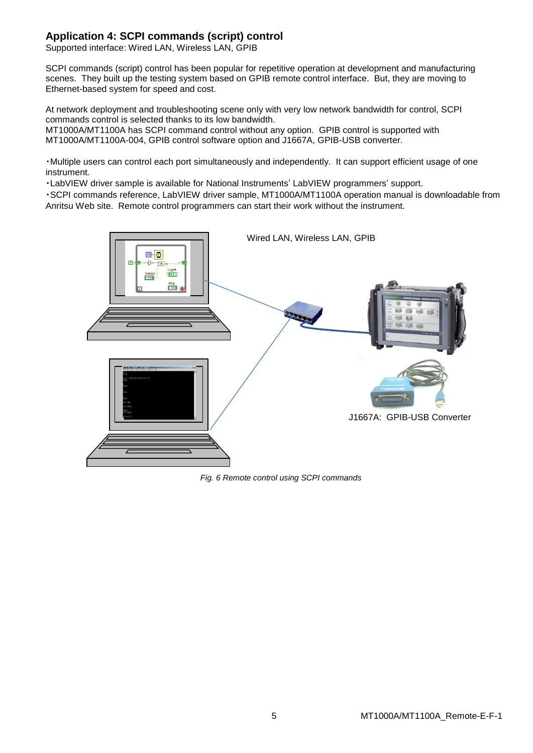# **Application 4: SCPI commands (script) control**

Supported interface: Wired LAN, Wireless LAN, GPIB

SCPI commands (script) control has been popular for repetitive operation at development and manufacturing scenes. They built up the testing system based on GPIB remote control interface. But, they are moving to Ethernet-based system for speed and cost.

At network deployment and troubleshooting scene only with very low network bandwidth for control, SCPI commands control is selected thanks to its low bandwidth.

MT1000A/MT1100A has SCPI command control without any option. GPIB control is supported with MT1000A/MT1100A-004, GPIB control software option and J1667A, GPIB-USB converter.

・Multiple users can control each port simultaneously and independently. It can support efficient usage of one instrument.

・LabVIEW driver sample is available for National Instruments' LabVIEW programmers' support.

・SCPI commands reference, LabVIEW driver sample, MT1000A/MT1100A operation manual is downloadable from Anritsu Web site. Remote control programmers can start their work without the instrument.



*Fig. 6 Remote control using SCPI commands*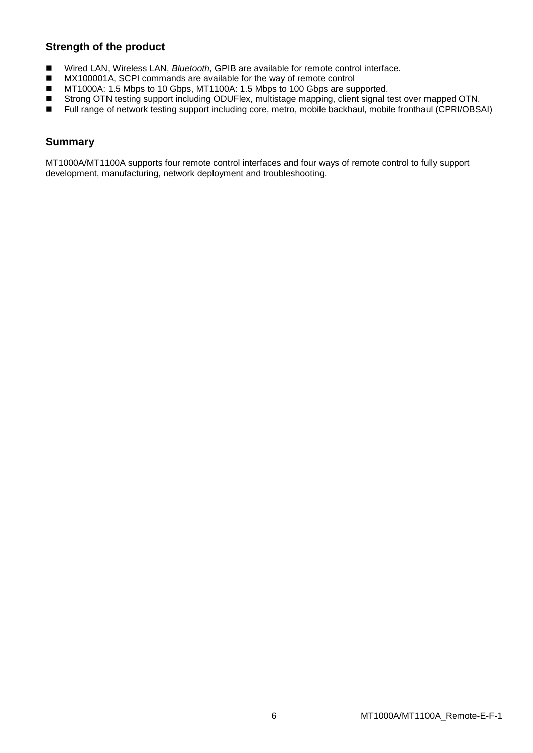# **Strength of the product**

- Wired LAN, Wireless LAN, *Bluetooth*, GPIB are available for remote control interface.
- MX100001A, SCPI commands are available for the way of remote control
- MT1000A: 1.5 Mbps to 10 Gbps, MT1100A: 1.5 Mbps to 100 Gbps are supported.
- Strong OTN testing support including ODUFlex, multistage mapping, client signal test over mapped OTN.
- Full range of network testing support including core, metro, mobile backhaul, mobile fronthaul (CPRI/OBSAI)

# **Summary**

MT1000A/MT1100A supports four remote control interfaces and four ways of remote control to fully support development, manufacturing, network deployment and troubleshooting.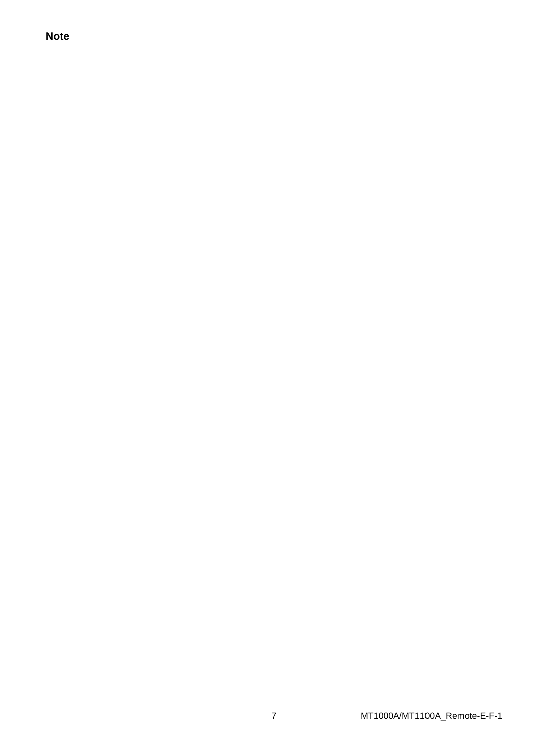**Note**